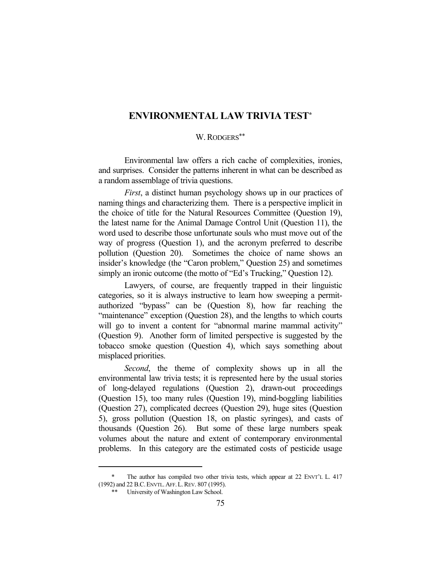## **ENVIRONMENTAL LAW TRIVIA TEST\***

#### W. RODGERS\*\*

 Environmental law offers a rich cache of complexities, ironies, and surprises. Consider the patterns inherent in what can be described as a random assemblage of trivia questions.

*First*, a distinct human psychology shows up in our practices of naming things and characterizing them. There is a perspective implicit in the choice of title for the Natural Resources Committee (Question 19), the latest name for the Animal Damage Control Unit (Question 11), the word used to describe those unfortunate souls who must move out of the way of progress (Question 1), and the acronym preferred to describe pollution (Question 20). Sometimes the choice of name shows an insider's knowledge (the "Caron problem," Question 25) and sometimes simply an ironic outcome (the motto of "Ed's Trucking," Question 12).

 Lawyers, of course, are frequently trapped in their linguistic categories, so it is always instructive to learn how sweeping a permitauthorized "bypass" can be (Question 8), how far reaching the "maintenance" exception (Question 28), and the lengths to which courts will go to invent a content for "abnormal marine mammal activity" (Question 9). Another form of limited perspective is suggested by the tobacco smoke question (Question 4), which says something about misplaced priorities.

*Second*, the theme of complexity shows up in all the environmental law trivia tests; it is represented here by the usual stories of long-delayed regulations (Question 2), drawn-out proceedings (Question 15), too many rules (Question 19), mind-boggling liabilities (Question 27), complicated decrees (Question 29), huge sites (Question 5), gross pollution (Question 18, on plastic syringes), and casts of thousands (Question 26). But some of these large numbers speak volumes about the nature and extent of contemporary environmental problems. In this category are the estimated costs of pesticide usage

 <sup>\*</sup> The author has compiled two other trivia tests, which appear at 22 ENVT'L L. 417 (1992) and 22 B.C.ENVTL.AFF.L.REV. 807 (1995).

 <sup>\*\*</sup> University of Washington Law School.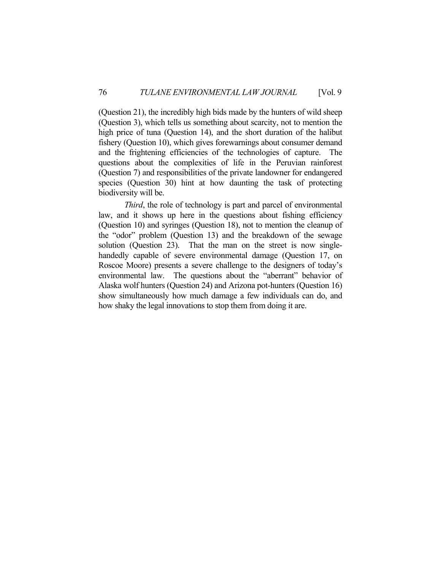(Question 21), the incredibly high bids made by the hunters of wild sheep (Question 3), which tells us something about scarcity, not to mention the high price of tuna (Question 14), and the short duration of the halibut fishery (Question 10), which gives forewarnings about consumer demand and the frightening efficiencies of the technologies of capture. The questions about the complexities of life in the Peruvian rainforest (Question 7) and responsibilities of the private landowner for endangered species (Question 30) hint at how daunting the task of protecting biodiversity will be.

*Third*, the role of technology is part and parcel of environmental law, and it shows up here in the questions about fishing efficiency (Question 10) and syringes (Question 18), not to mention the cleanup of the "odor" problem (Question 13) and the breakdown of the sewage solution (Question 23). That the man on the street is now singlehandedly capable of severe environmental damage (Question 17, on Roscoe Moore) presents a severe challenge to the designers of today's environmental law. The questions about the "aberrant" behavior of Alaska wolf hunters (Question 24) and Arizona pot-hunters (Question 16) show simultaneously how much damage a few individuals can do, and how shaky the legal innovations to stop them from doing it are.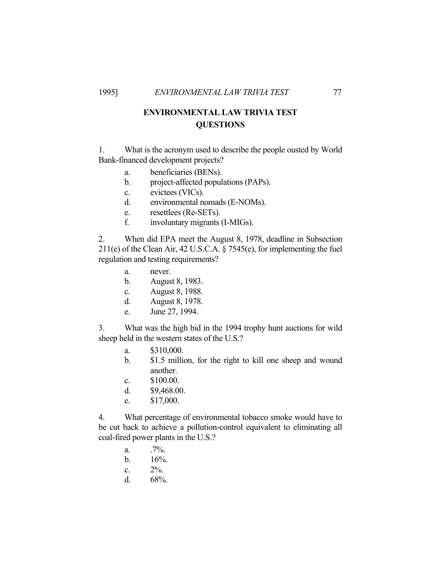# **ENVIRONMENTAL LAW TRIVIA TEST QUESTIONS**

1. What is the acronym used to describe the people ousted by World Bank-financed development projects?

- a. beneficiaries (BENs).
- b. project-affected populations (PAPs).
- c. evictees (VICs).
- d. environmental nomads (E-NOMs).
- e. resettlees (Re-SETs).
- f. involuntary migrants (I-MIGs).

2. When did EPA meet the August 8, 1978, deadline in Subsection 211(e) of the Clean Air, 42 U.S.C.A. § 7545(e), for implementing the fuel regulation and testing requirements?

- a. never.
- b. August 8, 1983.
- c. August 8, 1988.
- d. August 8, 1978.
- e. June 27, 1994.

3. What was the high bid in the 1994 trophy hunt auctions for wild sheep held in the western states of the U.S.?

- a. \$310,000.
- b. \$1.5 million, for the right to kill one sheep and wound another.
- c. \$100.00.
- d. \$9,468.00.
- e. \$17,000.

4. What percentage of environmental tobacco smoke would have to be cut back to achieve a pollution-control equivalent to eliminating all coal-fired power plants in the U.S.?

- a.  $.7\%$ .
- b.  $16%$ .
- c.  $2\%$ .
- d. 68%.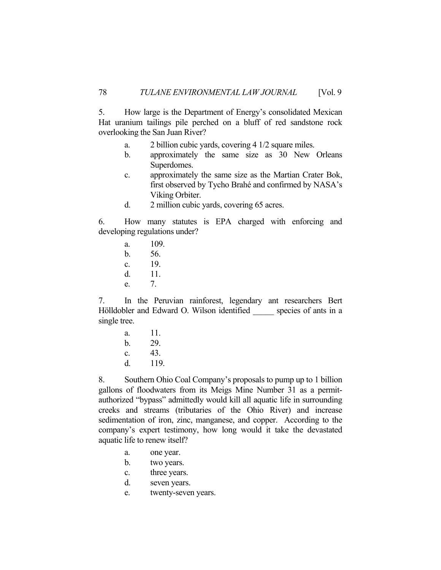5. How large is the Department of Energy's consolidated Mexican Hat uranium tailings pile perched on a bluff of red sandstone rock overlooking the San Juan River?

- a. 2 billion cubic yards, covering 4 1/2 square miles.
- b. approximately the same size as 30 New Orleans Superdomes.
- c. approximately the same size as the Martian Crater Bok, first observed by Tycho Brahé and confirmed by NASA's Viking Orbiter.
- d. 2 million cubic yards, covering 65 acres.

6. How many statutes is EPA charged with enforcing and developing regulations under?

 a. 109. b. 56. c. 19. d. 11. e. 7.

7. In the Peruvian rainforest, legendary ant researchers Bert Hölldobler and Edward O. Wilson identified \_\_\_\_\_ species of ants in a single tree.

> a. 11. b. 29. c. 43. d. 119.

8. Southern Ohio Coal Company's proposals to pump up to 1 billion gallons of floodwaters from its Meigs Mine Number 31 as a permitauthorized "bypass" admittedly would kill all aquatic life in surrounding creeks and streams (tributaries of the Ohio River) and increase sedimentation of iron, zinc, manganese, and copper. According to the company's expert testimony, how long would it take the devastated aquatic life to renew itself?

- a. one year.
- b. two years.
- c. three years.
- d. seven years.
- e. twenty-seven years.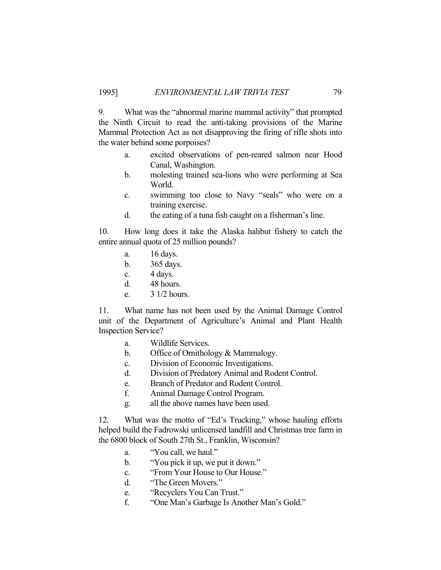9. What was the "abnormal marine mammal activity" that prompted the Ninth Circuit to read the anti-taking provisions of the Marine Mammal Protection Act as not disapproving the firing of rifle shots into the water behind some porpoises?

- a. excited observations of pen-reared salmon near Hood Canal, Washington.
- b. molesting trained sea-lions who were performing at Sea World.
- c. swimming too close to Navy "seals" who were on a training exercise.
- d. the eating of a tuna fish caught on a fisherman's line.

10. How long does it take the Alaska halibut fishery to catch the entire annual quota of 25 million pounds?

- a. 16 days.
- b. 365 days.
- c. 4 days.
- d. 48 hours.
- e. 3 1/2 hours.

11. What name has not been used by the Animal Damage Control unit of the Department of Agriculture's Animal and Plant Health Inspection Service?

- a. Wildlife Services.
- b. Office of Ornithology & Mammalogy.
- c. Division of Economic Investigations.
- d. Division of Predatory Animal and Rodent Control.
- e. Branch of Predator and Rodent Control.
- f. Animal Damage Control Program.
- g. all the above names have been used.

12. What was the motto of "Ed's Trucking," whose hauling efforts helped build the Fadrowski unlicensed landfill and Christmas tree farm in the 6800 block of South 27th St., Franklin, Wisconsin?

- a. "You call, we haul."
- b. "You pick it up, we put it down."
- c. "From Your House to Our House."
- d. "The Green Movers."
- e. "Recyclers You Can Trust."
- f. "One Man's Garbage Is Another Man's Gold."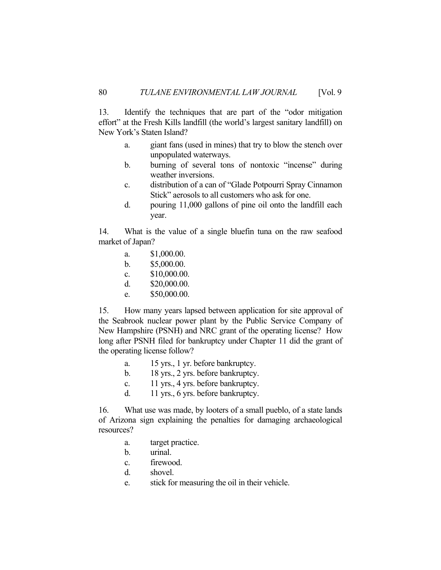13. Identify the techniques that are part of the "odor mitigation effort" at the Fresh Kills landfill (the world's largest sanitary landfill) on New York's Staten Island?

- a. giant fans (used in mines) that try to blow the stench over unpopulated waterways.
- b. burning of several tons of nontoxic "incense" during weather inversions.
- c. distribution of a can of "Glade Potpourri Spray Cinnamon Stick" aerosols to all customers who ask for one.
- d. pouring 11,000 gallons of pine oil onto the landfill each year.

14. What is the value of a single bluefin tuna on the raw seafood market of Japan?

- a. \$1,000.00.
- b. \$5,000.00.
- c. \$10,000.00.
- d. \$20,000.00.
- e. \$50,000.00.

15. How many years lapsed between application for site approval of the Seabrook nuclear power plant by the Public Service Company of New Hampshire (PSNH) and NRC grant of the operating license? How long after PSNH filed for bankruptcy under Chapter 11 did the grant of the operating license follow?

- a. 15 yrs., 1 yr. before bankruptcy.
- b. 18 yrs., 2 yrs. before bankruptcy.
- c. 11 yrs., 4 yrs. before bankruptcy.
- d. 11 yrs., 6 yrs. before bankruptcy.

16. What use was made, by looters of a small pueblo, of a state lands of Arizona sign explaining the penalties for damaging archaeological resources?

- a. target practice.
- b. urinal.
- c. firewood.
- d. shovel.
- e. stick for measuring the oil in their vehicle.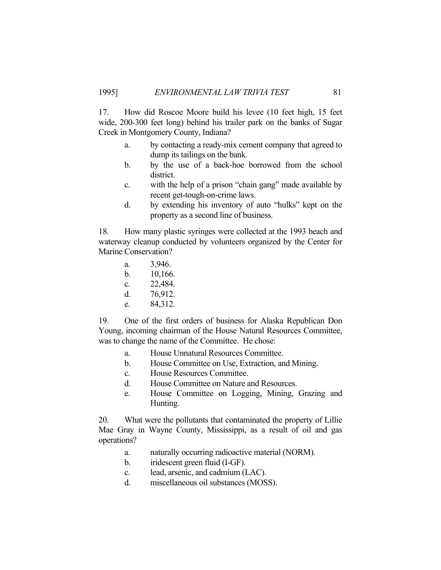17. How did Roscoe Moore build his levee (10 feet high, 15 feet wide, 200-300 feet long) behind his trailer park on the banks of Sugar Creek in Montgomery County, Indiana?

- a. by contacting a ready-mix cement company that agreed to dump its tailings on the bank.
- b. by the use of a back-hoe borrowed from the school district.
- c. with the help of a prison "chain gang" made available by recent get-tough-on-crime laws.
- d. by extending his inventory of auto "hulks" kept on the property as a second line of business.

18. How many plastic syringes were collected at the 1993 beach and waterway cleanup conducted by volunteers organized by the Center for Marine Conservation?

- a. 3,946.
- b. 10,166.
- c. 22,484.
- d. 76,912.
- e. 84,312.

19. One of the first orders of business for Alaska Republican Don Young, incoming chairman of the House Natural Resources Committee, was to change the name of the Committee. He chose:

- a. House Unnatural Resources Committee.
- b. House Committee on Use, Extraction, and Mining.
- c. House Resources Committee.
- d. House Committee on Nature and Resources.
- e. House Committee on Logging, Mining, Grazing and Hunting.

20. What were the pollutants that contaminated the property of Lillie Mae Gray in Wayne County, Mississippi, as a result of oil and gas operations?

- a. naturally occurring radioactive material (NORM).
- b. iridescent green fluid (I-GF).
- c. lead, arsenic, and cadmium (LAC).
- d. miscellaneous oil substances (MOSS).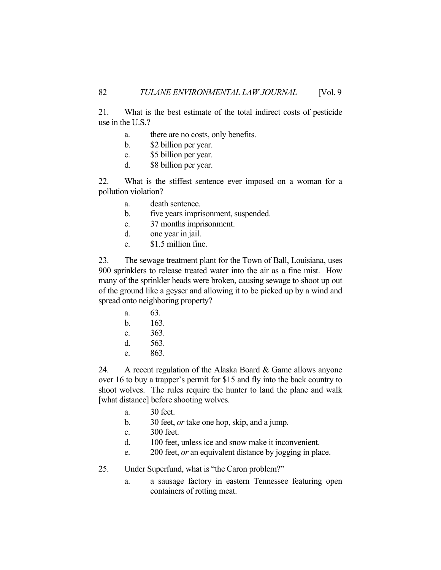21. What is the best estimate of the total indirect costs of pesticide use in the U.S.?

- a. there are no costs, only benefits.
- b. \$2 billion per year.
- c. \$5 billion per year.
- d. \$8 billion per year.

22. What is the stiffest sentence ever imposed on a woman for a pollution violation?

- a. death sentence.
- b. five years imprisonment, suspended.
- c. 37 months imprisonment.
- d. one year in jail.
- e. \$1.5 million fine.

23. The sewage treatment plant for the Town of Ball, Louisiana, uses 900 sprinklers to release treated water into the air as a fine mist. How many of the sprinkler heads were broken, causing sewage to shoot up out of the ground like a geyser and allowing it to be picked up by a wind and spread onto neighboring property?

 a. 63. b. 163. c. 363. d. 563. e. 863.

24. A recent regulation of the Alaska Board & Game allows anyone over 16 to buy a trapper's permit for \$15 and fly into the back country to shoot wolves. The rules require the hunter to land the plane and walk [what distance] before shooting wolves.

- a. 30 feet.
- b. 30 feet, *or* take one hop, skip, and a jump.
- c. 300 feet.
- d. 100 feet, unless ice and snow make it inconvenient.
- e. 200 feet, *or* an equivalent distance by jogging in place.

25. Under Superfund, what is "the Caron problem?"

 a. a sausage factory in eastern Tennessee featuring open containers of rotting meat.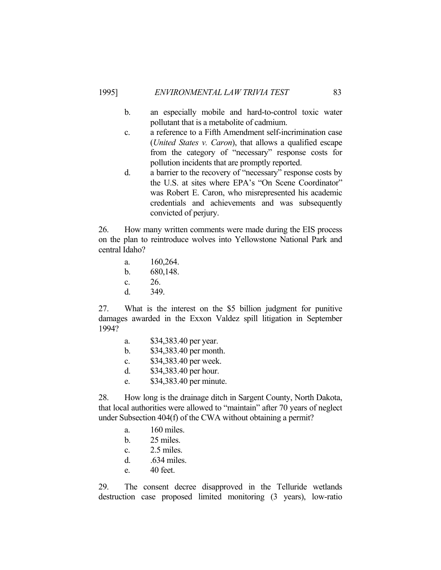### 1995] *ENVIRONMENTAL LAW TRIVIA TEST* 83

- b. an especially mobile and hard-to-control toxic water pollutant that is a metabolite of cadmium.
- c. a reference to a Fifth Amendment self-incrimination case (*United States v. Caron*), that allows a qualified escape from the category of "necessary" response costs for pollution incidents that are promptly reported.
- d. a barrier to the recovery of "necessary" response costs by the U.S. at sites where EPA's "On Scene Coordinator" was Robert E. Caron, who misrepresented his academic credentials and achievements and was subsequently convicted of perjury.

26. How many written comments were made during the EIS process on the plan to reintroduce wolves into Yellowstone National Park and central Idaho?

- a. 160,264. b. 680,148. c. 26.
- d. 349.

27. What is the interest on the \$5 billion judgment for punitive damages awarded in the Exxon Valdez spill litigation in September 1994?

- a. \$34,383.40 per year.
- b. \$34,383.40 per month.
- c. \$34,383.40 per week.
- d. \$34,383.40 per hour.
- e. \$34,383.40 per minute.

28. How long is the drainage ditch in Sargent County, North Dakota, that local authorities were allowed to "maintain" after 70 years of neglect under Subsection 404(f) of the CWA without obtaining a permit?

- a. 160 miles.
- b. 25 miles.
- c. 2.5 miles.
- d. .634 miles.
- e. 40 feet.

29. The consent decree disapproved in the Telluride wetlands destruction case proposed limited monitoring (3 years), low-ratio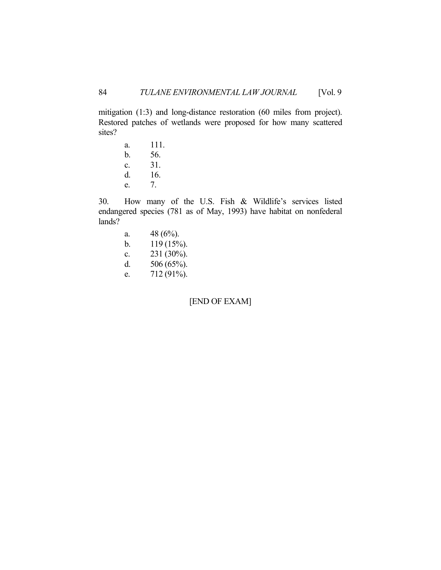mitigation (1:3) and long-distance restoration (60 miles from project). Restored patches of wetlands were proposed for how many scattered sites?

 a. 111. b. 56. c. 31. d. 16. e. 7.

30. How many of the U.S. Fish & Wildlife's services listed endangered species (781 as of May, 1993) have habitat on nonfederal lands?

- a.  $48 (6\%)$ . b.  $119 (15\%)$ . c. 231 (30%).
- d. 506 (65%).
- e. 712 (91%).

[END OF EXAM]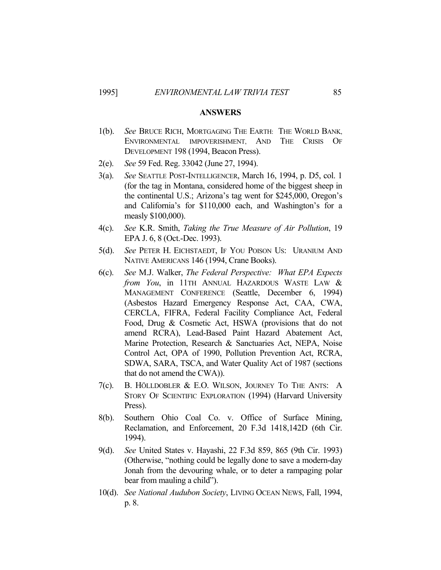### **ANSWERS**

- 1(b). *See* BRUCE RICH, MORTGAGING THE EARTH: THE WORLD BANK, ENVIRONMENTAL IMPOVERISHMENT, AND THE CRISIS OF DEVELOPMENT 198 (1994, Beacon Press).
- 2(e). *See* 59 Fed. Reg. 33042 (June 27, 1994).
- 3(a). *See* SEATTLE POST-INTELLIGENCER, March 16, 1994, p. D5, col. 1 (for the tag in Montana, considered home of the biggest sheep in the continental U.S.; Arizona's tag went for \$245,000, Oregon's and California's for \$110,000 each, and Washington's for a measly \$100,000).
- 4(c). *See* K.R. Smith, *Taking the True Measure of Air Pollution*, 19 EPA J. 6, 8 (Oct.-Dec. 1993).
- 5(d). *See* PETER H. EICHSTAEDT, IF YOU POISON US: URANIUM AND NATIVE AMERICANS 146 (1994, Crane Books).
- 6(c). *See* M.J. Walker, *The Federal Perspective: What EPA Expects from You*, in 11TH ANNUAL HAZARDOUS WASTE LAW & MANAGEMENT CONFERENCE (Seattle, December 6, 1994) (Asbestos Hazard Emergency Response Act, CAA, CWA, CERCLA, FIFRA, Federal Facility Compliance Act, Federal Food, Drug & Cosmetic Act, HSWA (provisions that do not amend RCRA), Lead-Based Paint Hazard Abatement Act, Marine Protection, Research & Sanctuaries Act, NEPA, Noise Control Act, OPA of 1990, Pollution Prevention Act, RCRA, SDWA, SARA, TSCA, and Water Quality Act of 1987 (sections that do not amend the CWA)).
- 7(c). B. HÖLLDOBLER & E.O. WILSON, JOURNEY TO THE ANTS: A STORY OF SCIENTIFIC EXPLORATION (1994) (Harvard University Press).
- 8(b). Southern Ohio Coal Co. v. Office of Surface Mining, Reclamation, and Enforcement, 20 F.3d 1418,142D (6th Cir. 1994).
- 9(d). *See* United States v. Hayashi, 22 F.3d 859, 865 (9th Cir. 1993) (Otherwise, "nothing could be legally done to save a modern-day Jonah from the devouring whale, or to deter a rampaging polar bear from mauling a child").
- 10(d). *See National Audubon Society*, LIVING OCEAN NEWS, Fall, 1994, p. 8.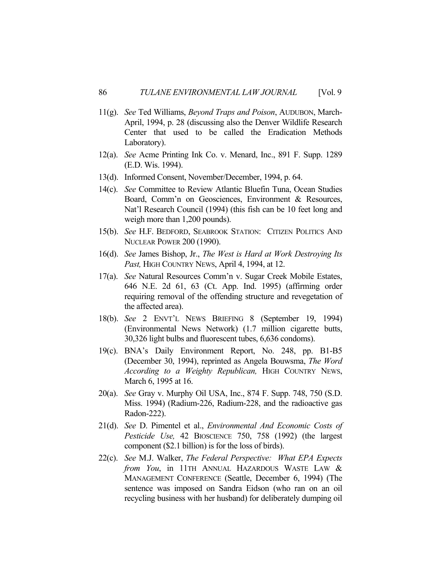- 11(g). *See* Ted Williams, *Beyond Traps and Poison*, AUDUBON, March-April, 1994, p. 28 (discussing also the Denver Wildlife Research Center that used to be called the Eradication Methods Laboratory).
- 12(a). *See* Acme Printing Ink Co. v. Menard, Inc., 891 F. Supp. 1289 (E.D. Wis. 1994).
- 13(d). Informed Consent, November/December, 1994, p. 64.
- 14(c). *See* Committee to Review Atlantic Bluefin Tuna, Ocean Studies Board, Comm'n on Geosciences, Environment & Resources, Nat'l Research Council (1994) (this fish can be 10 feet long and weigh more than 1,200 pounds).
- 15(b). *See* H.F. BEDFORD, SEABROOK STATION: CITIZEN POLITICS AND NUCLEAR POWER 200 (1990).
- 16(d). *See* James Bishop, Jr., *The West is Hard at Work Destroying Its*  Past, HIGH COUNTRY NEWS, April 4, 1994, at 12.
- 17(a). *See* Natural Resources Comm'n v. Sugar Creek Mobile Estates, 646 N.E. 2d 61, 63 (Ct. App. Ind. 1995) (affirming order requiring removal of the offending structure and revegetation of the affected area).
- 18(b). *See* 2 ENVT'L NEWS BRIEFING 8 (September 19, 1994) (Environmental News Network) (1.7 million cigarette butts, 30,326 light bulbs and fluorescent tubes, 6,636 condoms).
- 19(c). BNA's Daily Environment Report, No. 248, pp. B1-B5 (December 30, 1994), reprinted as Angela Bouwsma, *The Word According to a Weighty Republican,* HIGH COUNTRY NEWS, March 6, 1995 at 16.
- 20(a). *See* Gray v. Murphy Oil USA, Inc., 874 F. Supp. 748, 750 (S.D. Miss. 1994) (Radium-226, Radium-228, and the radioactive gas Radon-222).
- 21(d). *See* D. Pimentel et al., *Environmental And Economic Costs of Pesticide Use,* 42 BIOSCIENCE 750, 758 (1992) (the largest component (\$2.1 billion) is for the loss of birds).
- 22(c). *See* M.J. Walker, *The Federal Perspective: What EPA Expects from You*, in 11TH ANNUAL HAZARDOUS WASTE LAW & MANAGEMENT CONFERENCE (Seattle, December 6, 1994) (The sentence was imposed on Sandra Eidson (who ran on an oil recycling business with her husband) for deliberately dumping oil